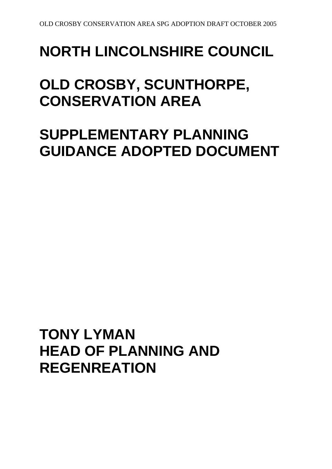# **NORTH LINCOLNSHIRE COUNCIL**

## **OLD CROSBY, SCUNTHORPE, CONSERVATION AREA**

## **SUPPLEMENTARY PLANNING GUIDANCE ADOPTED DOCUMENT**

**TONY LYMAN HEAD OF PLANNING AND REGENREATION**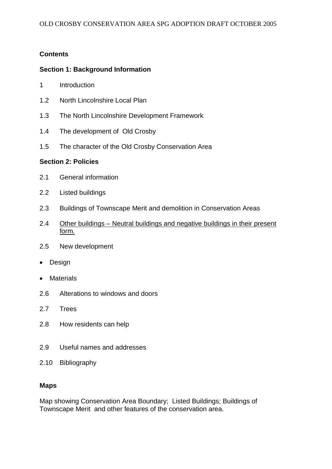## **Contents**

## **Section 1: Background Information**

- 1 Introduction
- 1.2 North Lincolnshire Local Plan
- 1.3 The North Lincolnshire Development Framework
- 1.4 The development of Old Crosby
- 1.5 The character of the Old Crosby Conservation Area

#### **Section 2: Policies**

- 2.1 General information
- 2.2 Listed buildings
- 2.3 Buildings of Townscape Merit and demolition in Conservation Areas
- 2.4 Other buildings Neutral buildings and negative buildings in their present form.
- 2.5 New development
- Design
- Materials
- 2.6 Alterations to windows and doors
- 2.7 Trees
- 2.8 How residents can help
- 2.9 Useful names and addresses
- 2.10 Bibliography

#### **Maps**

Map showing Conservation Area Boundary; Listed Buildings; Buildings of Townscape Merit and other features of the conservation area.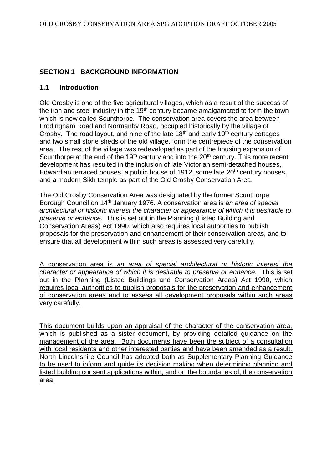## **SECTION 1 BACKGROUND INFORMATION**

#### **1.1 Introduction**

Old Crosby is one of the five agricultural villages, which as a result of the success of the iron and steel industry in the  $19<sup>th</sup>$  century became amalgamated to form the town which is now called Scunthorpe. The conservation area covers the area between Frodingham Road and Normanby Road, occupied historically by the village of Crosby. The road layout, and nine of the late  $18<sup>th</sup>$  and early  $19<sup>th</sup>$  century cottages and two small stone sheds of the old village, form the centrepiece of the conservation area. The rest of the village was redeveloped as part of the housing expansion of Scunthorpe at the end of the 19<sup>th</sup> century and into the  $20<sup>th</sup>$  century. This more recent development has resulted in the inclusion of late Victorian semi-detached houses, Edwardian terraced houses, a public house of 1912, some late  $20<sup>th</sup>$  century houses, and a modern Sikh temple as part of the Old Crosby Conservation Area.

The Old Crosby Conservation Area was designated by the former Scunthorpe Borough Council on 14th January 1976. A conservation area is *an area of special architectural or historic interest the character or appearance of which it is desirable to preserve or enhance.* This is set out in the Planning (Listed Building and Conservation Areas) Act 1990, which also requires local authorities to publish proposals for the preservation and enhancement of their conservation areas, and to ensure that all development within such areas is assessed very carefully.

A conservation area is *an area of special architectural or historic interest the character or appearance of which it is desirable to preserve or enhance.* This is set out in the Planning (Listed Buildings and Conservation Areas) Act 1990, which requires local authorities to publish proposals for the preservation and enhancement of conservation areas and to assess all development proposals within such areas very carefully.

This document builds upon an appraisal of the character of the conservation area, which is published as a sister document, by providing detailed guidance on the management of the area. Both documents have been the subject of a consultation with local residents and other interested parties and have been amended as a result. North Lincolnshire Council has adopted both as Supplementary Planning Guidance to be used to inform and guide its decision making when determining planning and listed building consent applications within, and on the boundaries of, the conservation area.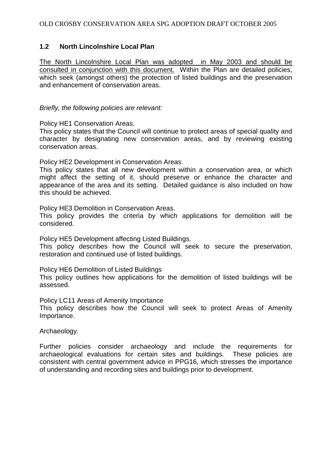## **1.2 North Lincolnshire Local Plan**

The North Lincolnshire Local Plan was adopted in May 2003 and should be consulted in conjunction with this document. Within the Plan are detailed policies, which seek (amongst others) the protection of listed buildings and the preservation and enhancement of conservation areas.

*Briefly, the following policies are relevant:*

Policy HE1 Conservation Areas.

This policy states that the Council will continue to protect areas of special quality and character by designating new conservation areas, and by reviewing existing conservation areas.

Policy HE2 Development in Conservation Areas.

This policy states that all new development within a conservation area, or which might affect the setting of it, should preserve or enhance the character and appearance of the area and its setting. Detailed guidance is also included on how this should be achieved.

Policy HE3 Demolition in Conservation Areas.

This policy provides the criteria by which applications for demolition will be considered.

Policy HE5 Development affecting Listed Buildings.

This policy describes how the Council will seek to secure the preservation, restoration and continued use of listed buildings.

Policy HE6 Demolition of Listed Buildings

This policy outlines how applications for the demolition of listed buildings will be assessed.

Policy LC11 Areas of Amenity Importance

This policy describes how the Council will seek to protect Areas of Amenity Importance.

Archaeology.

Further policies consider archaeology and include the requirements for archaeological evaluations for certain sites and buildings. These policies are consistent with central government advice in PPG16, which stresses the importance of understanding and recording sites and buildings prior to development.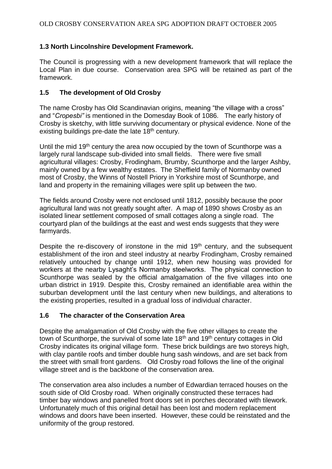## **1.3 North Lincolnshire Development Framework.**

The Council is progressing with a new development framework that will replace the Local Plan in due course. Conservation area SPG will be retained as part of the framework.

## **1.5 The development of Old Crosby**

The name Crosby has Old Scandinavian origins*,* meaning "the village with a cross" and "*Cropesbi"* is mentioned in the Domesday Book of 1086*.* The early history of Crosby is sketchy, with little surviving documentary or physical evidence. None of the existing buildings pre-date the late 18<sup>th</sup> century.

Until the mid 19<sup>th</sup> century the area now occupied by the town of Scunthorpe was a largely rural landscape sub-divided into small fields. There were five small agricultural villages: Crosby, Frodingham, Brumby, Scunthorpe and the larger Ashby, mainly owned by a few wealthy estates. The Sheffield family of Normanby owned most of Crosby, the Winns of Nostell Priory in Yorkshire most of Scunthorpe, and land and property in the remaining villages were split up between the two.

The fields around Crosby were not enclosed until 1812, possibly because the poor agricultural land was not greatly sought after. A map of 1890 shows Crosby as an isolated linear settlement composed of small cottages along a single road. The courtyard plan of the buildings at the east and west ends suggests that they were farmyards.

Despite the re-discovery of ironstone in the mid  $19<sup>th</sup>$  century, and the subsequent establishment of the iron and steel industry at nearby Frodingham, Crosby remained relatively untouched by change until 1912, when new housing was provided for workers at the nearby Lysaght's Normanby steelworks. The physical connection to Scunthorpe was sealed by the official amalgamation of the five villages into one urban district in 1919. Despite this, Crosby remained an identifiable area within the suburban development until the last century when new buildings, and alterations to the existing properties, resulted in a gradual loss of individual character.

## **1.6 The character of the Conservation Area**

Despite the amalgamation of Old Crosby with the five other villages to create the town of Scunthorpe, the survival of some late 18<sup>th</sup> and 19<sup>th</sup> century cottages in Old Crosby indicates its original village form. These brick buildings are two storeys high, with clay pantile roofs and timber double hung sash windows, and are set back from the street with small front gardens. Old Crosby road follows the line of the original village street and is the backbone of the conservation area.

The conservation area also includes a number of Edwardian terraced houses on the south side of Old Crosby road. When originally constructed these terraces had timber bay windows and panelled front doors set in porches decorated with tilework. Unfortunately much of this original detail has been lost and modern replacement windows and doors have been inserted. However, these could be reinstated and the uniformity of the group restored.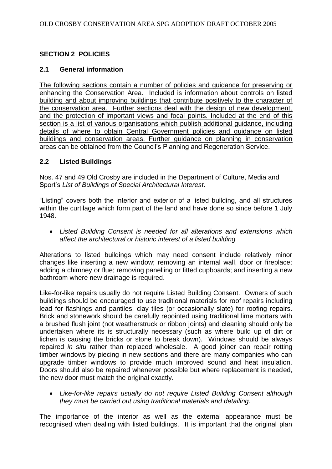## **SECTION 2 POLICIES**

#### **2.1 General information**

The following sections contain a number of policies and guidance for preserving or enhancing the Conservation Area. Included is information about controls on listed building and about improving buildings that contribute positively to the character of the conservation area. Further sections deal with the design of new development, and the protection of important views and focal points. Included at the end of this section is a list of various organisations which publish additional guidance, including details of where to obtain Central Government policies and guidance on listed buildings and conservation areas. Further guidance on planning in conservation areas can be obtained from the Council's Planning and Regeneration Service.

## **2.2 Listed Buildings**

Nos. 47 and 49 Old Crosby are included in the Department of Culture, Media and Sport's *List of Buildings of Special Architectural Interest*.

"Listing" covers both the interior and exterior of a listed building, and all structures within the curtilage which form part of the land and have done so since before 1 July 1948.

 *Listed Building Consent is needed for all alterations and extensions which affect the architectural or historic interest of a listed building*

Alterations to listed buildings which may need consent include relatively minor changes like inserting a new window; removing an internal wall, door or fireplace; adding a chimney or flue; removing panelling or fitted cupboards; and inserting a new bathroom where new drainage is required.

Like-for-like repairs usually do not require Listed Building Consent. Owners of such buildings should be encouraged to use traditional materials for roof repairs including lead for flashings and pantiles, clay tiles (or occasionally slate) for roofing repairs. Brick and stonework should be carefully repointed using traditional lime mortars with a brushed flush joint (not weatherstruck or ribbon joints) and cleaning should only be undertaken where its is structurally necessary (such as where build up of dirt or lichen is causing the bricks or stone to break down). Windows should be always repaired *in situ* rather than replaced wholesale. A good joiner can repair rotting timber windows by piecing in new sections and there are many companies who can upgrade timber windows to provide much improved sound and heat insulation. Doors should also be repaired whenever possible but where replacement is needed, the new door must match the original exactly.

 *Like-for-like repairs usually do not require Listed Building Consent although they must be carried out using traditional materials and detailing.*

The importance of the interior as well as the external appearance must be recognised when dealing with listed buildings. It is important that the original plan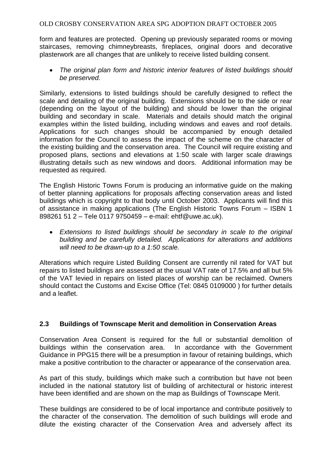form and features are protected. Opening up previously separated rooms or moving staircases, removing chimneybreasts, fireplaces, original doors and decorative plasterwork are all changes that are unlikely to receive listed building consent.

 *The original plan form and historic interior features of listed buildings should be preserved.*

Similarly, extensions to listed buildings should be carefully designed to reflect the scale and detailing of the original building. Extensions should be to the side or rear (depending on the layout of the building) and should be lower than the original building and secondary in scale. Materials and details should match the original examples within the listed building, including windows and eaves and roof details. Applications for such changes should be accompanied by enough detailed information for the Council to assess the impact of the scheme on the character of the existing building and the conservation area. The Council will require existing and proposed plans, sections and elevations at 1:50 scale with larger scale drawings illustrating details such as new windows and doors. Additional information may be requested as required.

The English Historic Towns Forum is producing an informative guide on the making of better planning applications for proposals affecting conservation areas and listed buildings which is copyright to that body until October 2003. Applicants will find this of assistance in making applications (The English Historic Towns Forum – ISBN 1 898261 51 2 – Tele 0117 9750459 – e-mail: ehtf@uwe.ac.uk).

 *Extensions to listed buildings should be secondary in scale to the original building and be carefully detailed. Applications for alterations and additions will need to be drawn-up to a 1:50 scale.*

Alterations which require Listed Building Consent are currently nil rated for VAT but repairs to listed buildings are assessed at the usual VAT rate of 17.5% and all but 5% of the VAT levied in repairs on listed places of worship can be reclaimed. Owners should contact the Customs and Excise Office (Tel: 0845 0109000 ) for further details and a leaflet.

## **2.3 Buildings of Townscape Merit and demolition in Conservation Areas**

Conservation Area Consent is required for the full or substantial demolition of buildings within the conservation area. In accordance with the Government Guidance in PPG15 there will be a presumption in favour of retaining buildings, which make a positive contribution to the character or appearance of the conservation area.

As part of this study, buildings which make such a contribution but have not been included in the national statutory list of building of architectural or historic interest have been identified and are shown on the map as Buildings of Townscape Merit.

These buildings are considered to be of local importance and contribute positively to the character of the conservation. The demolition of such buildings will erode and dilute the existing character of the Conservation Area and adversely affect its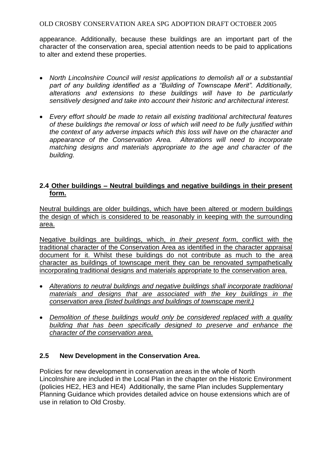appearance. Additionally, because these buildings are an important part of the character of the conservation area, special attention needs to be paid to applications to alter and extend these properties.

- *North Lincolnshire Council will resist applications to demolish all or a substantial part of any building identified as a "Building of Townscape Merit". Additionally, alterations and extensions to these buildings will have to be particularly sensitively designed and take into account their historic and architectural interest.*
- *Every effort should be made to retain all existing traditional architectural features of these buildings the removal or loss of which will need to be fully justified within the context of any adverse impacts which this loss will have on the character and appearance of the Conservation Area. Alterations will need to incorporate matching designs and materials appropriate to the age and character of the building.*

## **2.4 Other buildings – Neutral buildings and negative buildings in their present form.**

Neutral buildings are older buildings, which have been altered or modern buildings the design of which is considered to be reasonably in keeping with the surrounding area.

Negative buildings are buildings, which, *in their present form*, conflict with the traditional character of the Conservation Area as identified in the character appraisal document for it. Whilst these buildings do not contribute as much to the area character as buildings of townscape merit they can be renovated sympathetically incorporating traditional designs and materials appropriate to the conservation area.

- *Alterations to neutral buildings and negative buildings shall incorporate traditional materials and designs that are associated with the key buildings in the conservation area (listed buildings and buildings of townscape merit.)*
- *Demolition of these buildings would only be considered replaced with a quality building that has been specifically designed to preserve and enhance the character of the conservation area.*

#### **2.5 New Development in the Conservation Area.**

Policies for new development in conservation areas in the whole of North Lincolnshire are included in the Local Plan in the chapter on the Historic Environment (policies HE2, HE3 and HE4) Additionally, the same Plan includes Supplementary Planning Guidance which provides detailed advice on house extensions which are of use in relation to Old Crosby.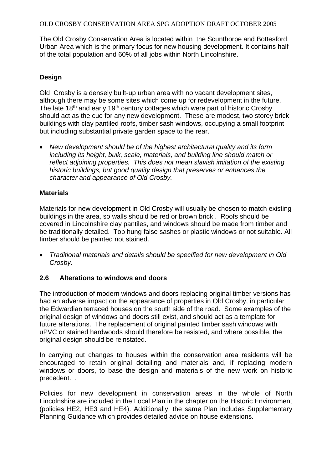The Old Crosby Conservation Area is located within the Scunthorpe and Bottesford Urban Area which is the primary focus for new housing development. It contains half of the total population and 60% of all jobs within North Lincolnshire.

## **Design**

Old Crosby is a densely built-up urban area with no vacant development sites, although there may be some sites which come up for redevelopment in the future. The late 18<sup>th</sup> and early 19<sup>th</sup> century cottages which were part of historic Crosby should act as the cue for any new development. These are modest, two storey brick buildings with clay pantiled roofs, timber sash windows, occupying a small footprint but including substantial private garden space to the rear.

 *New development should be of the highest architectural quality and its form including its height, bulk, scale, materials, and building line should match or reflect adjoining properties. This does not mean slavish imitation of the existing historic buildings, but good quality design that preserves or enhances the character and appearance of Old Crosby.*

#### **Materials**

Materials for new development in Old Crosby will usually be chosen to match existing buildings in the area, so walls should be red or brown brick . Roofs should be covered in Lincolnshire clay pantiles, and windows should be made from timber and be traditionally detailed. Top hung false sashes or plastic windows or not suitable. All timber should be painted not stained.

 *Traditional materials and details should be specified for new development in Old Crosby.*

## **2.6 Alterations to windows and doors**

The introduction of modern windows and doors replacing original timber versions has had an adverse impact on the appearance of properties in Old Crosby, in particular the Edwardian terraced houses on the south side of the road. Some examples of the original design of windows and doors still exist, and should act as a template for future alterations. The replacement of original painted timber sash windows with uPVC or stained hardwoods should therefore be resisted, and where possible, the original design should be reinstated.

In carrying out changes to houses within the conservation area residents will be encouraged to retain original detailing and materials and, if replacing modern windows or doors, to base the design and materials of the new work on historic precedent. .

Policies for new development in conservation areas in the whole of North Lincolnshire are included in the Local Plan in the chapter on the Historic Environment (policies HE2, HE3 and HE4). Additionally, the same Plan includes Supplementary Planning Guidance which provides detailed advice on house extensions.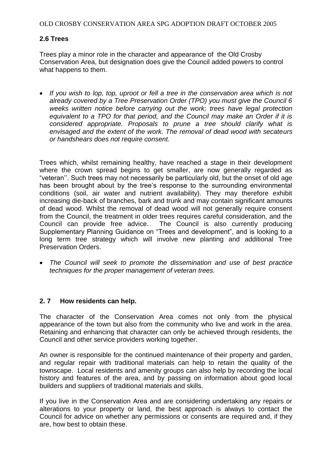#### **2.6 Trees**

Trees play a minor role in the character and appearance of the Old Crosby Conservation Area, but designation does give the Council added powers to control what happens to them.

• If you wish to lop, top, uproot or fell a tree in the conservation area which is not *already covered by a Tree Preservation Order (TPO) you must give the Council 6 weeks written notice before carrying out the work; trees have legal protection equivalent to a TPO for that period, and the Council may make an Order if it is considered appropriate. Proposals to prune a tree should clarify what is envisaged and the extent of the work. The removal of dead wood with secateurs or handshears does not require consent.*

Trees which, whilst remaining healthy, have reached a stage in their development where the crown spread begins to get smaller, are now generally regarded as "veteran''. Such trees may not necessarily be particularly old, but the onset of old age has been brought about by the tree's response to the surrounding environmental conditions (soil, air water and nutrient availability). They may therefore exhibit increasing die-back of branches, bark and trunk and may contain significant amounts of dead wood. Whilst the removal of dead wood will not generally require consent from the Council, the treatment in older trees requires careful consideration, and the Council can provide free advice. The Council is also currently producing Supplementary Planning Guidance on "Trees and development", and is looking to a long term tree strategy which will involve new planting and additional Tree Preservation Orders.

 *The Council will seek to promote the dissemination and use of best practice techniques for the proper management of veteran trees.* 

#### **2. 7 How residents can help.**

The character of the Conservation Area comes not only from the physical appearance of the town but also from the community who live and work in the area. Retaining and enhancing that character can only be achieved through residents, the Council and other service providers working together.

An owner is responsible for the continued maintenance of their property and garden, and regular repair with traditional materials can help to retain the quality of the townscape. Local residents and amenity groups can also help by recording the local history and features of the area, and by passing on information about good local builders and suppliers of traditional materials and skills.

If you live in the Conservation Area and are considering undertaking any repairs or alterations to your property or land, the best approach is always to contact the Council for advice on whether any permissions or consents are required and, if they are, how best to obtain these.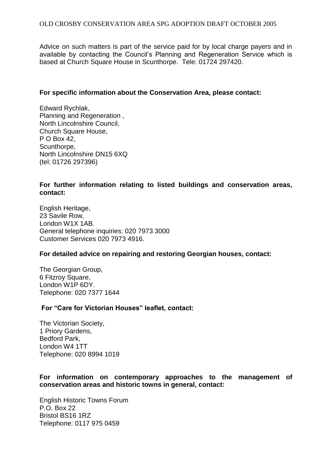Advice on such matters is part of the service paid for by local charge payers and in available by contacting the Council's Planning and Regeneration Service which is based at Church Square House in Scunthorpe. Tele: 01724 297420.

#### **For specific information about the Conservation Area, please contact:**

Edward Rychlak, Planning and Regeneration , North Lincolnshire Council, Church Square House, P O Box 42, Scunthorpe, North Lincolnshire DN15 6XQ (tel: 01726 297396)

#### **For further information relating to listed buildings and conservation areas, contact:**

English Heritage, 23 Savile Row, London W1X 1AB. General telephone inquiries: 020 7973 3000 Customer Services 020 7973 4916.

#### **For detailed advice on repairing and restoring Georgian houses, contact:**

The Georgian Group, 6 Fitzroy Square, London W1P 6DY. Telephone: 020 7377 1644

#### **For "Care for Victorian Houses" leaflet, contact:**

The Victorian Society, 1 Priory Gardens, Bedford Park, London W4 1TT Telephone: 020 8994 1019

#### **For information on contemporary approaches to the management of conservation areas and historic towns in general, contact:**

English Historic Towns Forum P.O. Box 22 Bristol BS16 1RZ Telephone: 0117 975 0459